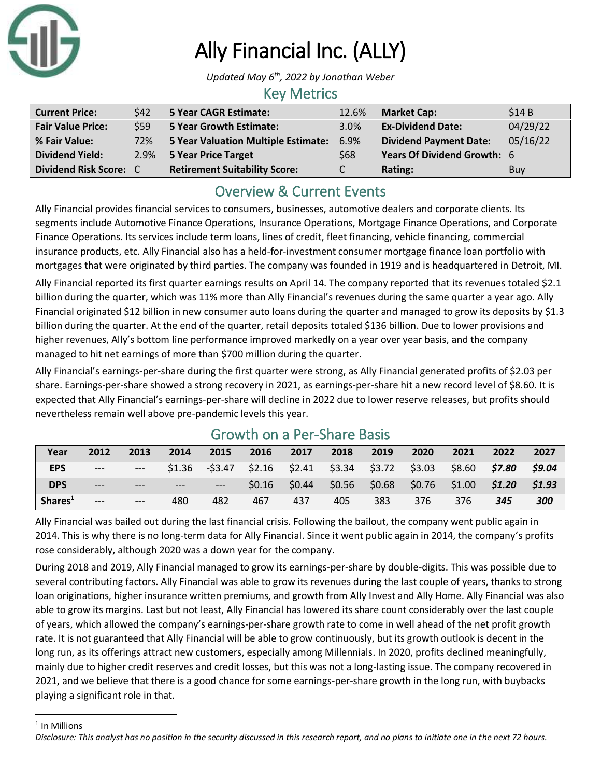

# Ally Financial Inc. (ALLY)

*Updated May 6 th, 2022 by Jonathan Weber*

#### Key Metrics

| <b>Current Price:</b>    | \$42 | <b>5 Year CAGR Estimate:</b>         | 12.6% | <b>Market Cap:</b>            | \$14B      |
|--------------------------|------|--------------------------------------|-------|-------------------------------|------------|
| <b>Fair Value Price:</b> | \$59 | <b>5 Year Growth Estimate:</b>       | 3.0%  | <b>Ex-Dividend Date:</b>      | 04/29/22   |
| % Fair Value:            | 72%  | 5 Year Valuation Multiple Estimate:  | 6.9%  | <b>Dividend Payment Date:</b> | 05/16/22   |
| <b>Dividend Yield:</b>   |      | 2.9% 5 Year Price Target             | \$68  | Years Of Dividend Growth: 6   |            |
| Dividend Risk Score: C   |      | <b>Retirement Suitability Score:</b> |       | Rating:                       | <b>Buy</b> |

# Overview & Current Events

Ally Financial provides financial services to consumers, businesses, automotive dealers and corporate clients. Its segments include Automotive Finance Operations, Insurance Operations, Mortgage Finance Operations, and Corporate Finance Operations. Its services include term loans, lines of credit, fleet financing, vehicle financing, commercial insurance products, etc. Ally Financial also has a held-for-investment consumer mortgage finance loan portfolio with mortgages that were originated by third parties. The company was founded in 1919 and is headquartered in Detroit, MI.

Ally Financial reported its first quarter earnings results on April 14. The company reported that its revenues totaled \$2.1 billion during the quarter, which was 11% more than Ally Financial's revenues during the same quarter a year ago. Ally Financial originated \$12 billion in new consumer auto loans during the quarter and managed to grow its deposits by \$1.3 billion during the quarter. At the end of the quarter, retail deposits totaled \$136 billion. Due to lower provisions and higher revenues, Ally's bottom line performance improved markedly on a year over year basis, and the company managed to hit net earnings of more than \$700 million during the quarter.

Ally Financial's earnings-per-share during the first quarter were strong, as Ally Financial generated profits of \$2.03 per share. Earnings-per-share showed a strong recovery in 2021, as earnings-per-share hit a new record level of \$8.60. It is expected that Ally Financial's earnings-per-share will decline in 2022 due to lower reserve releases, but profits should nevertheless remain well above pre-pandemic levels this year.

| Year                | 2012  | 2013  | 2014  | 2015                                                    | 2016 | 2017                                                    | 2018 | 2019 | 2020 | 2021                 | 2022 | 2027   |
|---------------------|-------|-------|-------|---------------------------------------------------------|------|---------------------------------------------------------|------|------|------|----------------------|------|--------|
| <b>EPS</b>          | $---$ | $---$ |       | $$1.36$ $$3.47$ $$2.16$ $$2.41$ $$3.34$ $$3.72$ $$3.03$ |      |                                                         |      |      |      | \$8.60 <b>\$7.80</b> |      | \$9.04 |
| <b>DPS</b>          | $---$ | $---$ | $---$ |                                                         |      | $$0.16$ $$0.44$ $$0.56$ $$0.68$ $$0.76$ $$1.00$ $$1.20$ |      |      |      |                      |      | \$1.93 |
| Shares <sup>1</sup> | $---$ | $---$ | 480   | 482                                                     | 467  | 437                                                     | 405  | 383  | 376  | 376                  | 345  | 300    |

# Growth on a Per-Share Basis

Ally Financial was bailed out during the last financial crisis. Following the bailout, the company went public again in 2014. This is why there is no long-term data for Ally Financial. Since it went public again in 2014, the company's profits rose considerably, although 2020 was a down year for the company.

During 2018 and 2019, Ally Financial managed to grow its earnings-per-share by double-digits. This was possible due to several contributing factors. Ally Financial was able to grow its revenues during the last couple of years, thanks to strong loan originations, higher insurance written premiums, and growth from Ally Invest and Ally Home. Ally Financial was also able to grow its margins. Last but not least, Ally Financial has lowered its share count considerably over the last couple of years, which allowed the company's earnings-per-share growth rate to come in well ahead of the net profit growth rate. It is not guaranteed that Ally Financial will be able to grow continuously, but its growth outlook is decent in the long run, as its offerings attract new customers, especially among Millennials. In 2020, profits declined meaningfully, mainly due to higher credit reserves and credit losses, but this was not a long-lasting issue. The company recovered in 2021, and we believe that there is a good chance for some earnings-per-share growth in the long run, with buybacks playing a significant role in that.

<sup>1</sup> In Millions

*Disclosure: This analyst has no position in the security discussed in this research report, and no plans to initiate one in the next 72 hours.*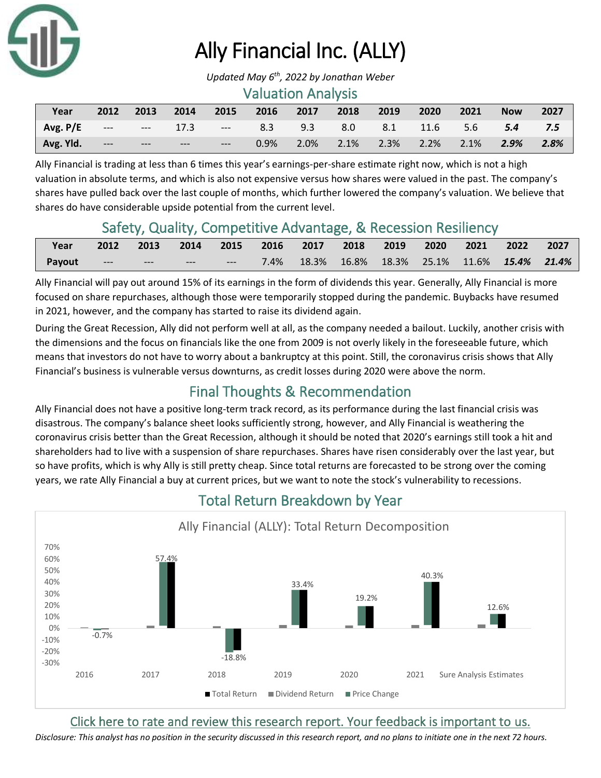

# Ally Financial Inc. (ALLY)

#### Valuation Analysis

| Year      | 2012  | 2013  | $\sim$ 2014 |       | 2015 2016 2017 2018                               |  | 2019                     | 2020 | 2021 | <b>Now</b> | 2027 |
|-----------|-------|-------|-------------|-------|---------------------------------------------------|--|--------------------------|------|------|------------|------|
| Avg. P/E  |       |       |             |       | --- --- 17.3 --- 8.3 9.3 8.0 8.1 11.6 5.6 5.4 7.5 |  |                          |      |      |            |      |
| Avg. Yld. | $---$ | $---$ | $---$       | ----- | $0.9\%$                                           |  | 2.0% 2.1% 2.3% 2.2% 2.1% |      |      | $2.9\%$    | 2.8% |

Ally Financial is trading at less than 6 times this year's earnings-per-share estimate right now, which is not a high valuation in absolute terms, and which is also not expensive versus how shares were valued in the past. The company's shares have pulled back over the last couple of months, which further lowered the company's valuation. We believe that shares do have considerable upside potential from the current level.

### Safety, Quality, Competitive Advantage, & Recession Resiliency

| Year          |                               |               | 2012 2013 2014 2015 2016 2017 2018 2019 2020 2021 2022 2027 |  |                                                |  |  |  |
|---------------|-------------------------------|---------------|-------------------------------------------------------------|--|------------------------------------------------|--|--|--|
| <b>Payout</b> | and the second control of the | $\sim$ $\sim$ | <b>Service</b> Construction                                 |  | 7.4% 18.3% 16.8% 18.3% 25.1% 11.6% 15.4% 21.4% |  |  |  |

Ally Financial will pay out around 15% of its earnings in the form of dividends this year. Generally, Ally Financial is more focused on share repurchases, although those were temporarily stopped during the pandemic. Buybacks have resumed in 2021, however, and the company has started to raise its dividend again.

During the Great Recession, Ally did not perform well at all, as the company needed a bailout. Luckily, another crisis with the dimensions and the focus on financials like the one from 2009 is not overly likely in the foreseeable future, which means that investors do not have to worry about a bankruptcy at this point. Still, the coronavirus crisis shows that Ally Financial's business is vulnerable versus downturns, as credit losses during 2020 were above the norm.

### Final Thoughts & Recommendation

Ally Financial does not have a positive long-term track record, as its performance during the last financial crisis was disastrous. The company's balance sheet looks sufficiently strong, however, and Ally Financial is weathering the coronavirus crisis better than the Great Recession, although it should be noted that 2020's earnings still took a hit and shareholders had to live with a suspension of share repurchases. Shares have risen considerably over the last year, but so have profits, which is why Ally is still pretty cheap. Since total returns are forecasted to be strong over the coming years, we rate Ally Financial a buy at current prices, but we want to note the stock's vulnerability to recessions.



# Total Return Breakdown by Year

[Click here to rate and review this research report. Your feedback is important to us.](https://suredividend.typeform.com/to/ScKeFu)

*Disclosure: This analyst has no position in the security discussed in this research report, and no plans to initiate one in the next 72 hours.*

*Updated May 6 th, 2022 by Jonathan Weber*